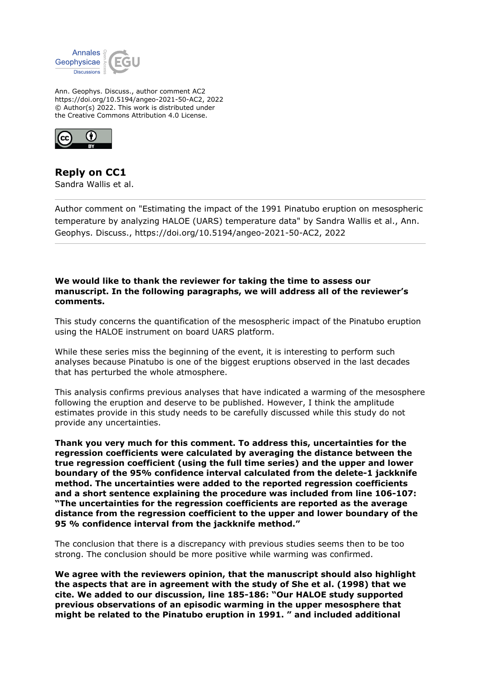

Ann. Geophys. Discuss., author comment AC2 https://doi.org/10.5194/angeo-2021-50-AC2, 2022 © Author(s) 2022. This work is distributed under the Creative Commons Attribution 4.0 License.



**Reply on CC1** Sandra Wallis et al.

Author comment on "Estimating the impact of the 1991 Pinatubo eruption on mesospheric temperature by analyzing HALOE (UARS) temperature data" by Sandra Wallis et al., Ann. Geophys. Discuss., https://doi.org/10.5194/angeo-2021-50-AC2, 2022

## **We would like to thank the reviewer for taking the time to assess our manuscript. In the following paragraphs, we will address all of the reviewer's comments.**

This study concerns the quantification of the mesospheric impact of the Pinatubo eruption using the HALOE instrument on board UARS platform.

While these series miss the beginning of the event, it is interesting to perform such analyses because Pinatubo is one of the biggest eruptions observed in the last decades that has perturbed the whole atmosphere.

This analysis confirms previous analyses that have indicated a warming of the mesosphere following the eruption and deserve to be published. However, I think the amplitude estimates provide in this study needs to be carefully discussed while this study do not provide any uncertainties.

**Thank you very much for this comment. To address this, uncertainties for the regression coefficients were calculated by averaging the distance between the true regression coefficient (using the full time series) and the upper and lower boundary of the 95% confidence interval calculated from the delete-1 jackknife method. The uncertainties were added to the reported regression coefficients and a short sentence explaining the procedure was included from line 106-107: "The uncertainties for the regression coefficients are reported as the average distance from the regression coefficient to the upper and lower boundary of the 95 % confidence interval from the jackknife method."**

The conclusion that there is a discrepancy with previous studies seems then to be too strong. The conclusion should be more positive while warming was confirmed.

**We agree with the reviewers opinion, that the manuscript should also highlight the aspects that are in agreement with the study of She et al. (1998) that we cite. We added to our discussion, line 185-186: "Our HALOE study supported previous observations of an episodic warming in the upper mesosphere that might be related to the Pinatubo eruption in 1991. " and included additional**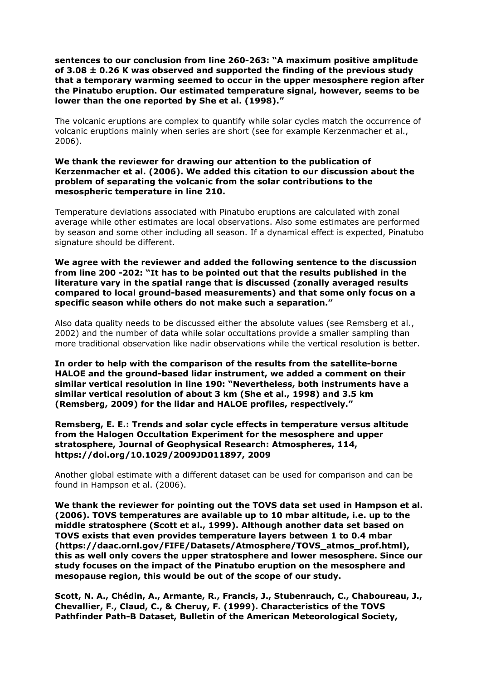**sentences to our conclusion from line 260-263: "A maximum positive amplitude of 3.08 ± 0.26 K was observed and supported the finding of the previous study that a temporary warming seemed to occur in the upper mesosphere region after the Pinatubo eruption. Our estimated temperature signal, however, seems to be lower than the one reported by She et al. (1998)."**

The volcanic eruptions are complex to quantify while solar cycles match the occurrence of volcanic eruptions mainly when series are short (see for example Kerzenmacher et al., 2006).

## **We thank the reviewer for drawing our attention to the publication of Kerzenmacher et al. (2006). We added this citation to our discussion about the problem of separating the volcanic from the solar contributions to the mesospheric temperature in line 210.**

Temperature deviations associated with Pinatubo eruptions are calculated with zonal average while other estimates are local observations. Also some estimates are performed by season and some other including all season. If a dynamical effect is expected, Pinatubo signature should be different.

**We agree with the reviewer and added the following sentence to the discussion from line 200 -202: "It has to be pointed out that the results published in the literature vary in the spatial range that is discussed (zonally averaged results compared to local ground-based measurements) and that some only focus on a specific season while others do not make such a separation."**

Also data quality needs to be discussed either the absolute values (see Remsberg et al., 2002) and the number of data while solar occultations provide a smaller sampling than more traditional observation like nadir observations while the vertical resolution is better.

**In order to help with the comparison of the results from the satellite-borne HALOE and the ground-based lidar instrument, we added a comment on their similar vertical resolution in line 190: "Nevertheless, both instruments have a similar vertical resolution of about 3 km (She et al., 1998) and 3.5 km (Remsberg, 2009) for the lidar and HALOE profiles, respectively."**

**Remsberg, E. E.: Trends and solar cycle effects in temperature versus altitude from the Halogen Occultation Experiment for the mesosphere and upper stratosphere, Journal of Geophysical Research: Atmospheres, 114, https://doi.org/10.1029/2009JD011897, 2009**

Another global estimate with a different dataset can be used for comparison and can be found in Hampson et al. (2006).

**We thank the reviewer for pointing out the TOVS data set used in Hampson et al. (2006). TOVS temperatures are available up to 10 mbar altitude, i.e. up to the middle stratosphere (Scott et al., 1999). Although another data set based on TOVS exists that even provides temperature layers between 1 to 0.4 mbar (https://daac.ornl.gov/FIFE/Datasets/Atmosphere/TOVS\_atmos\_prof.html), this as well only covers the upper stratosphere and lower mesosphere. Since our study focuses on the impact of the Pinatubo eruption on the mesosphere and mesopause region, this would be out of the scope of our study.**

**Scott, N. A., Chédin, A., Armante, R., Francis, J., Stubenrauch, C., Chaboureau, J., Chevallier, F., Claud, C., & Cheruy, F. (1999). Characteristics of the TOVS Pathfinder Path-B Dataset, Bulletin of the American Meteorological Society,**